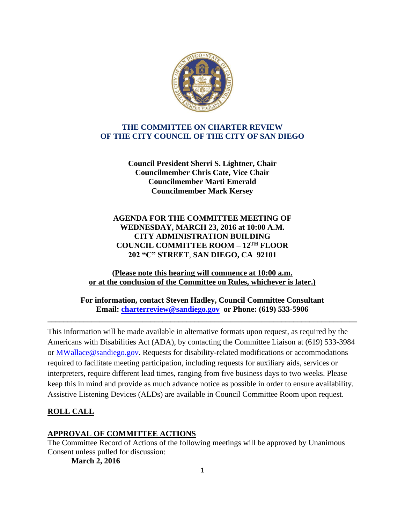

### **THE COMMITTEE ON CHARTER REVIEW OF THE CITY COUNCIL OF THE CITY OF SAN DIEGO**

**Council President Sherri S. Lightner, Chair Councilmember Chris Cate, Vice Chair Councilmember Marti Emerald Councilmember Mark Kersey**

## **AGENDA FOR THE COMMITTEE MEETING OF WEDNESDAY, MARCH 23, 2016 at 10:00 A.M. CITY ADMINISTRATION BUILDING COUNCIL COMMITTEE ROOM – 12TH FLOOR 202 "C" STREET**, **SAN DIEGO, CA 92101**

**(Please note this hearing will commence at 10:00 a.m. or at the conclusion of the Committee on Rules, whichever is later.)**

**For information, contact Steven Hadley, Council Committee Consultant Email: [charterreview@sandiego.gov](mailto:charterreview@sandiego.gov) or Phone: (619) 533-5906** 

**\_\_\_\_\_\_\_\_\_\_\_\_\_\_\_\_\_\_\_\_\_\_\_\_\_\_\_\_\_\_\_\_\_\_\_\_\_\_\_\_\_\_\_\_\_\_\_\_\_\_\_\_\_\_\_\_\_\_\_\_\_\_\_\_\_\_\_\_\_\_\_\_\_\_\_\_\_\_**

This information will be made available in alternative formats upon request, as required by the Americans with Disabilities Act (ADA), by contacting the Committee Liaison at (619) 533-3984 or MWallace@sandiego.gov. Requests for disability-related modifications or accommodations required to facilitate meeting participation, including requests for auxiliary aids, services or interpreters, require different lead times, ranging from five business days to two weeks. Please keep this in mind and provide as much advance notice as possible in order to ensure availability. Assistive Listening Devices (ALDs) are available in Council Committee Room upon request.

# **ROLL CALL**

### **APPROVAL OF COMMITTEE ACTIONS**

The Committee Record of Actions of the following meetings will be approved by Unanimous Consent unless pulled for discussion:

**March 2, 2016**